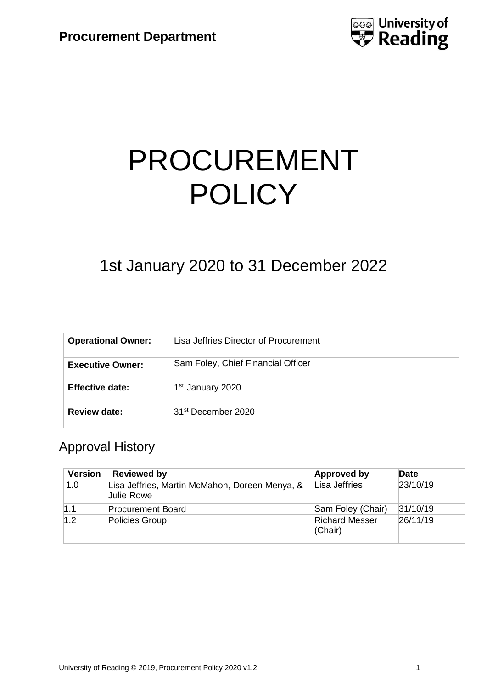

# PROCUREMENT **POLICY**

# 1st January 2020 to 31 December 2022

| <b>Operational Owner:</b> | Lisa Jeffries Director of Procurement |  |
|---------------------------|---------------------------------------|--|
| <b>Executive Owner:</b>   | Sam Foley, Chief Financial Officer    |  |
| <b>Effective date:</b>    | 1 <sup>st</sup> January 2020          |  |
| <b>Review date:</b>       | 31 <sup>st</sup> December 2020        |  |

# Approval History

| <b>Version</b> | <b>Reviewed by</b>                                                  | <b>Approved by</b>               | Date     |
|----------------|---------------------------------------------------------------------|----------------------------------|----------|
| 1.0            | Lisa Jeffries, Martin McMahon, Doreen Menya, &<br><b>Julie Rowe</b> | Lisa Jeffries                    | 23/10/19 |
| 1.1            | <b>Procurement Board</b>                                            | Sam Foley (Chair)                | 31/10/19 |
| 1.2            | Policies Group                                                      | <b>Richard Messer</b><br>(Chair) | 26/11/19 |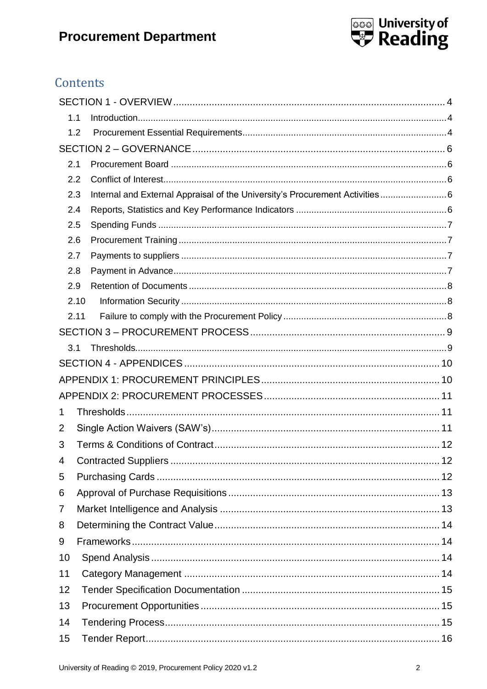

# Contents

|    | 1.1  |                                                                              |    |
|----|------|------------------------------------------------------------------------------|----|
|    | 1.2  |                                                                              |    |
|    |      |                                                                              |    |
|    | 2.1  |                                                                              |    |
|    | 2.2  |                                                                              |    |
|    | 2.3  | Internal and External Appraisal of the University's Procurement Activities 6 |    |
|    | 2.4  |                                                                              |    |
|    | 2.5  |                                                                              |    |
|    | 2.6  |                                                                              |    |
|    | 2.7  |                                                                              |    |
|    | 2.8  |                                                                              |    |
|    | 2.9  |                                                                              |    |
|    | 2.10 |                                                                              |    |
|    | 2.11 |                                                                              |    |
|    |      |                                                                              |    |
|    | 3.1  |                                                                              |    |
|    |      |                                                                              |    |
|    |      |                                                                              |    |
|    |      |                                                                              |    |
| 1  |      |                                                                              |    |
| 2  |      |                                                                              |    |
| 3  |      |                                                                              |    |
| 4  |      | <b>Contracted Suppliers</b>                                                  | 12 |
| 5  |      |                                                                              |    |
| 6  |      |                                                                              |    |
| 7  |      |                                                                              |    |
| 8  |      |                                                                              |    |
| 9  |      |                                                                              |    |
| 10 |      |                                                                              |    |
| 11 |      |                                                                              |    |
| 12 |      |                                                                              |    |
| 13 |      |                                                                              |    |
| 14 |      |                                                                              |    |
| 15 |      |                                                                              |    |
|    |      |                                                                              |    |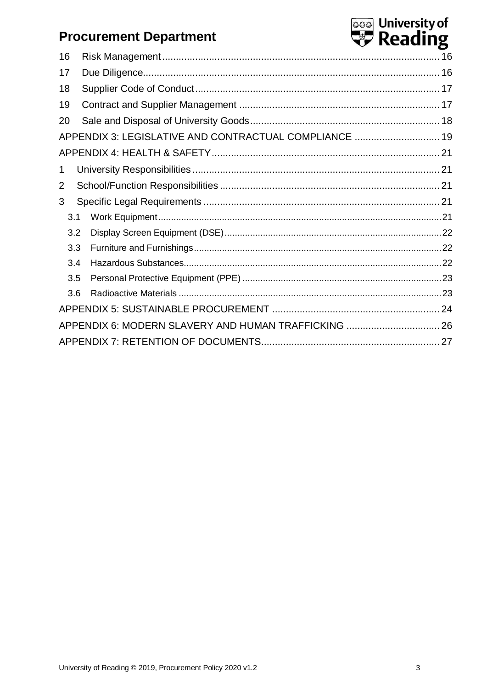|     | <b>Procurement Department</b>                          | තෙ University of<br><b>D</b> Reading |
|-----|--------------------------------------------------------|--------------------------------------|
| 16  |                                                        |                                      |
| 17  |                                                        |                                      |
| 18  |                                                        |                                      |
| 19  |                                                        |                                      |
| 20  |                                                        |                                      |
|     | APPENDIX 3: LEGISLATIVE AND CONTRACTUAL COMPLIANCE  19 |                                      |
|     |                                                        |                                      |
| 1   |                                                        |                                      |
| 2   |                                                        |                                      |
| 3   |                                                        |                                      |
| 3.1 |                                                        |                                      |
| 3.2 |                                                        |                                      |
| 3.3 |                                                        |                                      |
| 3.4 |                                                        |                                      |
| 3.5 |                                                        |                                      |
| 3.6 |                                                        |                                      |
|     |                                                        |                                      |
|     | APPENDIX 6: MODERN SLAVERY AND HUMAN TRAFFICKING  26   |                                      |
|     |                                                        |                                      |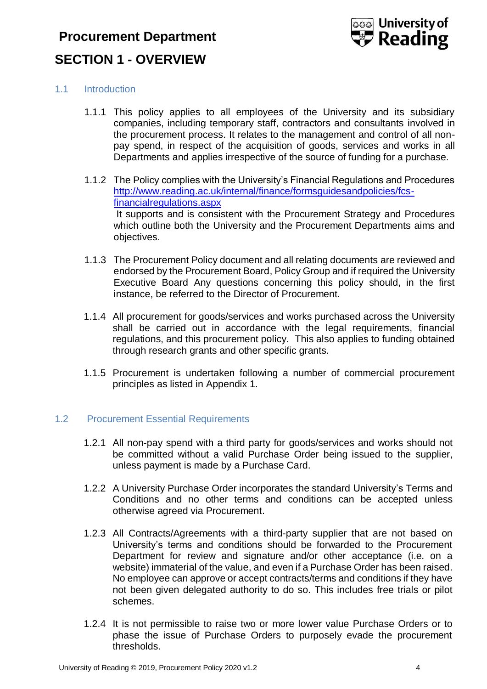# <span id="page-3-0"></span>**Procurement Department SECTION 1 - OVERVIEW**



## <span id="page-3-1"></span>1.1 Introduction

- 1.1.1 This policy applies to all employees of the University and its subsidiary companies, including temporary staff, contractors and consultants involved in the procurement process. It relates to the management and control of all nonpay spend, in respect of the acquisition of goods, services and works in all Departments and applies irrespective of the source of funding for a purchase.
- 1.1.2 The Policy complies with the University's Financial Regulations and Procedures [http://www.reading.ac.uk/internal/finance/formsguidesandpolicies/fcs](http://www.reading.ac.uk/internal/finance/formsguidesandpolicies/fcs-financialregulations.aspx)[financialregulations.aspx](http://www.reading.ac.uk/internal/finance/formsguidesandpolicies/fcs-financialregulations.aspx) It supports and is consistent with the Procurement Strategy and Procedures which outline both the University and the Procurement Departments aims and objectives.
- 1.1.3 The Procurement Policy document and all relating documents are reviewed and endorsed by the Procurement Board, Policy Group and if required the University Executive Board Any questions concerning this policy should, in the first instance, be referred to the Director of Procurement.
- 1.1.4 All procurement for goods/services and works purchased across the University shall be carried out in accordance with the legal requirements, financial regulations, and this procurement policy. This also applies to funding obtained through research grants and other specific grants.
- 1.1.5 Procurement is undertaken following a number of commercial procurement principles as listed in Appendix 1.

### <span id="page-3-2"></span>1.2 Procurement Essential Requirements

- 1.2.1 All non-pay spend with a third party for goods/services and works should not be committed without a valid Purchase Order being issued to the supplier, unless payment is made by a Purchase Card.
- 1.2.2 A University Purchase Order incorporates the standard University's Terms and Conditions and no other terms and conditions can be accepted unless otherwise agreed via Procurement.
- 1.2.3 All Contracts/Agreements with a third-party supplier that are not based on University's terms and conditions should be forwarded to the Procurement Department for review and signature and/or other acceptance (i.e. on a website) immaterial of the value, and even if a Purchase Order has been raised. No employee can approve or accept contracts/terms and conditions if they have not been given delegated authority to do so. This includes free trials or pilot schemes.
- 1.2.4 It is not permissible to raise two or more lower value Purchase Orders or to phase the issue of Purchase Orders to purposely evade the procurement thresholds.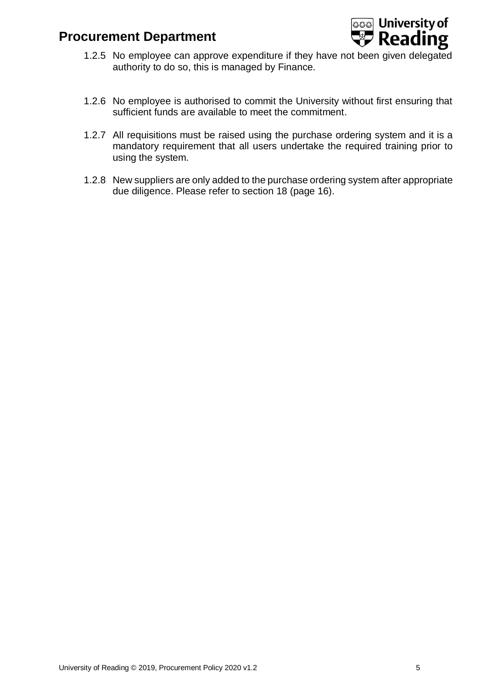

- 1.2.5 No employee can approve expenditure if they have not been given delegated authority to do so, this is managed by Finance.
- 1.2.6 No employee is authorised to commit the University without first ensuring that sufficient funds are available to meet the commitment.
- 1.2.7 All requisitions must be raised using the purchase ordering system and it is a mandatory requirement that all users undertake the required training prior to using the system.
- 1.2.8 New suppliers are only added to the purchase ordering system after appropriate due diligence. Please refer to section 18 (page 16).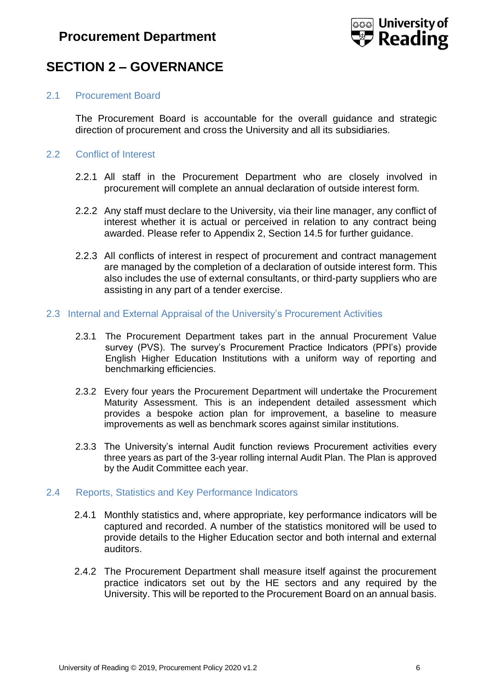

# <span id="page-5-0"></span>**SECTION 2 – GOVERNANCE**

### <span id="page-5-1"></span>2.1 Procurement Board

The Procurement Board is accountable for the overall guidance and strategic direction of procurement and cross the University and all its subsidiaries.

### <span id="page-5-2"></span>2.2 Conflict of Interest

- 2.2.1 All staff in the Procurement Department who are closely involved in procurement will complete an annual declaration of outside interest form.
- 2.2.2 Any staff must declare to the University, via their line manager, any conflict of interest whether it is actual or perceived in relation to any contract being awarded. Please refer to Appendix 2, Section 14.5 for further guidance.
- 2.2.3 All conflicts of interest in respect of procurement and contract management are managed by the completion of a declaration of outside interest form. This also includes the use of external consultants, or third-party suppliers who are assisting in any part of a tender exercise.
- <span id="page-5-3"></span>2.3 Internal and External Appraisal of the University's Procurement Activities
	- 2.3.1 The Procurement Department takes part in the annual Procurement Value survey (PVS). The survey's Procurement Practice Indicators (PPI's) provide English Higher Education Institutions with a uniform way of reporting and benchmarking efficiencies.
	- 2.3.2 Every four years the Procurement Department will undertake the Procurement Maturity Assessment. This is an independent detailed assessment which provides a bespoke action plan for improvement, a baseline to measure improvements as well as benchmark scores against similar institutions.
	- 2.3.3 The University's internal Audit function reviews Procurement activities every three years as part of the 3-year rolling internal Audit Plan. The Plan is approved by the Audit Committee each year.

#### <span id="page-5-4"></span>2.4 Reports, Statistics and Key Performance Indicators

- 2.4.1 Monthly statistics and, where appropriate, key performance indicators will be captured and recorded. A number of the statistics monitored will be used to provide details to the Higher Education sector and both internal and external auditors.
- 2.4.2 The Procurement Department shall measure itself against the procurement practice indicators set out by the HE sectors and any required by the University. This will be reported to the Procurement Board on an annual basis.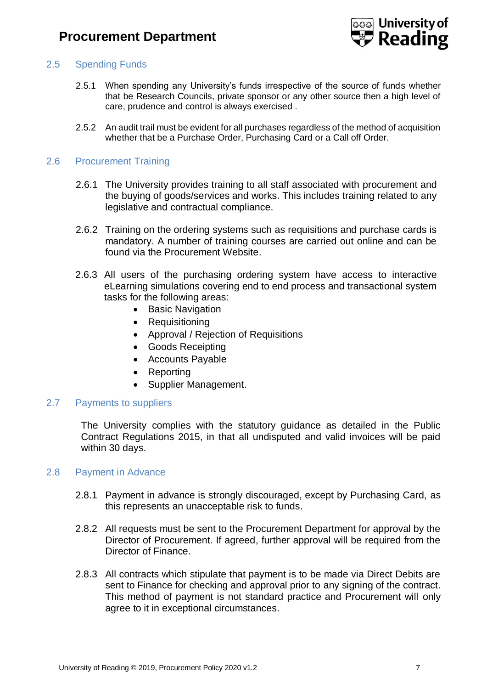

### <span id="page-6-0"></span>2.5 Spending Funds

- 2.5.1 When spending any University's funds irrespective of the source of funds whether that be Research Councils, private sponsor or any other source then a high level of care, prudence and control is always exercised .
- 2.5.2 An audit trail must be evident for all purchases regardless of the method of acquisition whether that be a Purchase Order, Purchasing Card or a Call off Order.

#### <span id="page-6-1"></span>2.6 Procurement Training

- 2.6.1 The University provides training to all staff associated with procurement and the buying of goods/services and works. This includes training related to any legislative and contractual compliance.
- 2.6.2 Training on the ordering systems such as requisitions and purchase cards is mandatory. A number of training courses are carried out online and can be found via the Procurement Website.
- 2.6.3 All users of the purchasing ordering system have access to interactive eLearning simulations covering end to end process and transactional system tasks for the following areas:
	- Basic Navigation
	- Requisitioning
	- Approval / Rejection of Requisitions
	- Goods Receipting
	- Accounts Payable
	- Reporting
	- Supplier Management.

### <span id="page-6-2"></span>2.7 Payments to suppliers

The University complies with the statutory guidance as detailed in the Public Contract Regulations 2015, in that all undisputed and valid invoices will be paid within 30 days.

#### <span id="page-6-3"></span>2.8 Payment in Advance

- 2.8.1 Payment in advance is strongly discouraged, except by Purchasing Card, as this represents an unacceptable risk to funds.
- 2.8.2 All requests must be sent to the Procurement Department for approval by the Director of Procurement. If agreed, further approval will be required from the Director of Finance.
- 2.8.3 All contracts which stipulate that payment is to be made via Direct Debits are sent to Finance for checking and approval prior to any signing of the contract. This method of payment is not standard practice and Procurement will only agree to it in exceptional circumstances.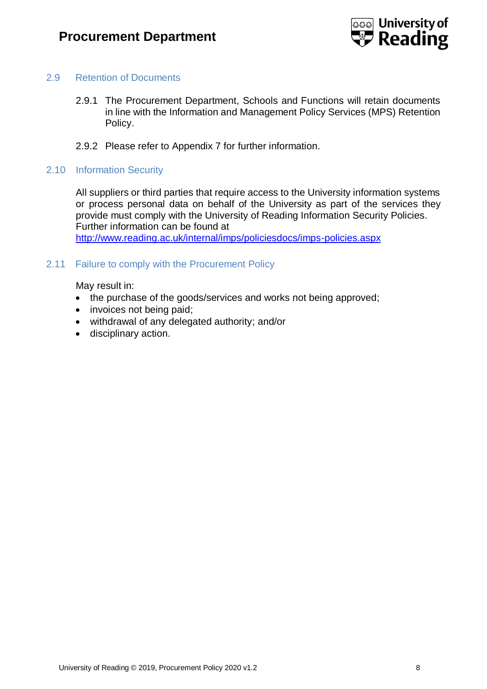

### <span id="page-7-0"></span>2.9 Retention of Documents

- 2.9.1 The Procurement Department, Schools and Functions will retain documents in line with the Information and Management Policy Services (MPS) Retention Policy.
- 2.9.2 Please refer to Appendix 7 for further information.
- <span id="page-7-1"></span>2.10 Information Security

All suppliers or third parties that require access to the University information systems or process personal data on behalf of the University as part of the services they provide must comply with the University of Reading Information Security Policies. Further information can be found at <http://www.reading.ac.uk/internal/imps/policiesdocs/imps-policies.aspx>

### <span id="page-7-2"></span>2.11 Failure to comply with the Procurement Policy

May result in:

- the purchase of the goods/services and works not being approved;
- invoices not being paid;
- withdrawal of any delegated authority; and/or
- disciplinary action.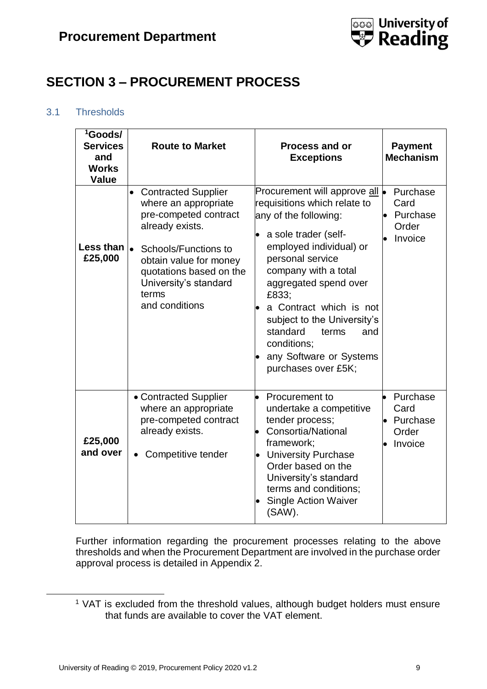

# <span id="page-8-0"></span>**SECTION 3 – PROCUREMENT PROCESS**

# <span id="page-8-1"></span>3.1 Thresholds

| <sup>1</sup> Goods/<br><b>Services</b><br>and<br><b>Works</b><br><b>Value</b> | <b>Route to Market</b>                                                                                                                                                                                                                                    | <b>Process and or</b><br><b>Exceptions</b>                                                                                                                                                                                                                                                                                                                                              | <b>Payment</b><br><b>Mechanism</b>                            |
|-------------------------------------------------------------------------------|-----------------------------------------------------------------------------------------------------------------------------------------------------------------------------------------------------------------------------------------------------------|-----------------------------------------------------------------------------------------------------------------------------------------------------------------------------------------------------------------------------------------------------------------------------------------------------------------------------------------------------------------------------------------|---------------------------------------------------------------|
| Less than<br>£25,000                                                          | <b>Contracted Supplier</b><br>$\bullet$<br>where an appropriate<br>pre-competed contract<br>already exists.<br>$\bullet$<br>Schools/Functions to<br>obtain value for money<br>quotations based on the<br>University's standard<br>terms<br>and conditions | Procurement will approve all $\bullet$<br>requisitions which relate to<br>any of the following:<br>a sole trader (self-<br>employed individual) or<br>personal service<br>company with a total<br>aggregated spend over<br>£833;<br>a Contract which is not<br>subject to the University's<br>standard<br>and<br>terms<br>conditions;<br>any Software or Systems<br>purchases over £5K; | Purchase<br>Card<br>Purchase<br>$\bullet$<br>Order<br>Invoice |
| £25,000<br>and over                                                           | • Contracted Supplier<br>where an appropriate<br>pre-competed contract<br>already exists.<br>Competitive tender<br>$\bullet$                                                                                                                              | Procurement to<br>undertake a competitive<br>tender process;<br>Consortia/National<br>framework;<br><b>University Purchase</b><br>Order based on the<br>University's standard<br>terms and conditions;<br><b>Single Action Waiver</b><br>(SAW).                                                                                                                                         | Purchase<br>Card<br>Purchase<br>Order<br>Invoice              |

Further information regarding the procurement processes relating to the above thresholds and when the Procurement Department are involved in the purchase order approval process is detailed in Appendix 2.

-

<sup>&</sup>lt;sup>1</sup> VAT is excluded from the threshold values, although budget holders must ensure that funds are available to cover the VAT element.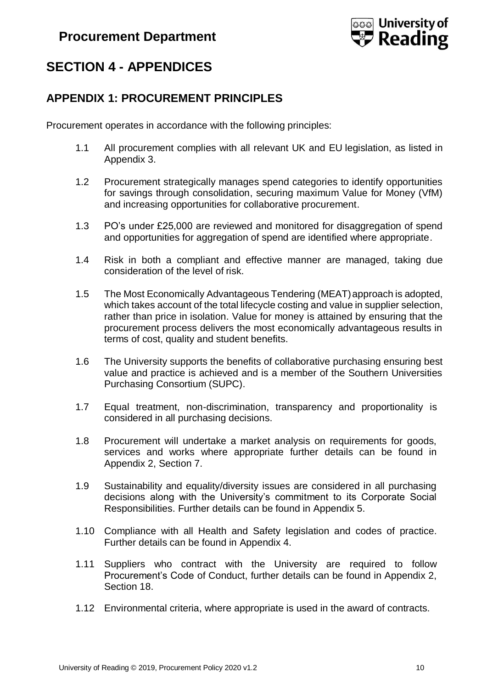

# <span id="page-9-0"></span>**SECTION 4 - APPENDICES**

# <span id="page-9-1"></span>**APPENDIX 1: PROCUREMENT PRINCIPLES**

Procurement operates in accordance with the following principles:

- 1.1 All procurement complies with all relevant UK and EU legislation, as listed in Appendix 3.
- 1.2 Procurement strategically manages spend categories to identify opportunities for savings through consolidation, securing maximum Value for Money (VfM) and increasing opportunities for collaborative procurement.
- 1.3 PO's under £25,000 are reviewed and monitored for disaggregation of spend and opportunities for aggregation of spend are identified where appropriate.
- 1.4 Risk in both a compliant and effective manner are managed, taking due consideration of the level of risk.
- 1.5 The Most Economically Advantageous Tendering (MEAT) approach is adopted, which takes account of the total lifecycle costing and value in supplier selection, rather than price in isolation. Value for money is attained by ensuring that the procurement process delivers the most economically advantageous results in terms of cost, quality and student benefits.
- 1.6 The University supports the benefits of collaborative purchasing ensuring best value and practice is achieved and is a member of the Southern Universities Purchasing Consortium (SUPC).
- 1.7 Equal treatment, non-discrimination, transparency and proportionality is considered in all purchasing decisions.
- 1.8 Procurement will undertake a market analysis on requirements for goods, services and works where appropriate further details can be found in Appendix 2, Section 7.
- 1.9 Sustainability and equality/diversity issues are considered in all purchasing decisions along with the University's commitment to its Corporate Social Responsibilities. Further details can be found in Appendix 5.
- 1.10 Compliance with all Health and Safety legislation and codes of practice. Further details can be found in Appendix 4.
- 1.11 Suppliers who contract with the University are required to follow Procurement's Code of Conduct, further details can be found in Appendix 2, Section 18.
- 1.12 Environmental criteria, where appropriate is used in the award of contracts.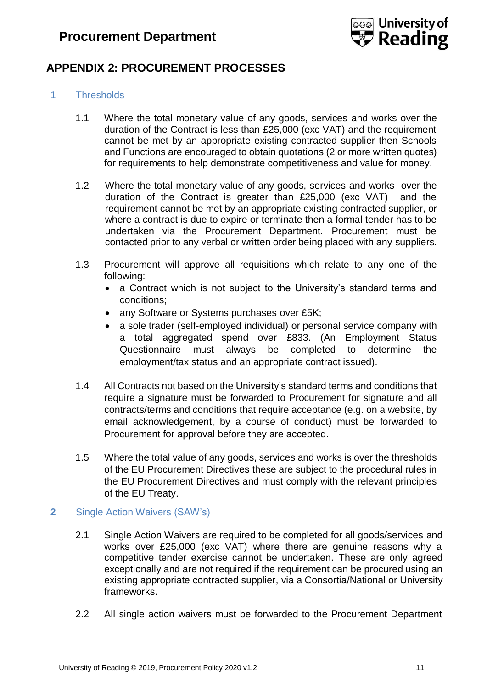

# <span id="page-10-0"></span>**APPENDIX 2: PROCUREMENT PROCESSES**

### <span id="page-10-1"></span>1 Thresholds

- 1.1 Where the total monetary value of any goods, services and works over the duration of the Contract is less than £25,000 (exc VAT) and the requirement cannot be met by an appropriate existing contracted supplier then Schools and Functions are encouraged to obtain quotations (2 or more written quotes) for requirements to help demonstrate competitiveness and value for money.
- 1.2 Where the total monetary value of any goods, services and works over the duration of the Contract is greater than £25,000 (exc VAT) and the requirement cannot be met by an appropriate existing contracted supplier, or where a contract is due to expire or terminate then a formal tender has to be undertaken via the Procurement Department. Procurement must be contacted prior to any verbal or written order being placed with any suppliers.
- 1.3 Procurement will approve all requisitions which relate to any one of the following:
	- a Contract which is not subject to the University's standard terms and conditions;
	- any Software or Systems purchases over £5K;
	- a sole trader (self-employed individual) or personal service company with a total aggregated spend over £833. (An Employment Status Questionnaire must always be completed to determine the employment/tax status and an appropriate contract issued).
- 1.4 All Contracts not based on the University's standard terms and conditions that require a signature must be forwarded to Procurement for signature and all contracts/terms and conditions that require acceptance (e.g. on a website, by email acknowledgement, by a course of conduct) must be forwarded to Procurement for approval before they are accepted.
- 1.5 Where the total value of any goods, services and works is over the thresholds of the EU Procurement Directives these are subject to the procedural rules in the EU Procurement Directives and must comply with the relevant principles of the EU Treaty.

### <span id="page-10-2"></span>**2** Single Action Waivers (SAW's)

- 2.1 Single Action Waivers are required to be completed for all goods/services and works over £25,000 (exc VAT) where there are genuine reasons why a competitive tender exercise cannot be undertaken. These are only agreed exceptionally and are not required if the requirement can be procured using an existing appropriate contracted supplier, via a Consortia/National or University frameworks.
- 2.2 All single action waivers must be forwarded to the Procurement Department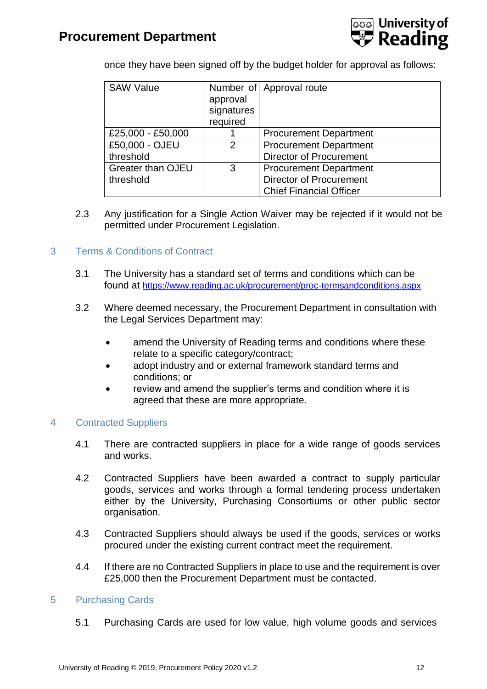

once they have been signed off by the budget holder for approval as follows:

| <b>SAW Value</b>         |            | Number of Approval route       |
|--------------------------|------------|--------------------------------|
|                          | approval   |                                |
|                          | signatures |                                |
|                          | required   |                                |
| £25,000 - £50,000        |            | <b>Procurement Department</b>  |
| £50,000 - OJEU           | 2          | <b>Procurement Department</b>  |
| threshold                |            | <b>Director of Procurement</b> |
| <b>Greater than OJEU</b> | 3          | <b>Procurement Department</b>  |
| threshold                |            | <b>Director of Procurement</b> |
|                          |            | <b>Chief Financial Officer</b> |

2.3 Any justification for a Single Action Waiver may be rejected if it would not be permitted under Procurement Legislation.

### <span id="page-11-0"></span>3 Terms & Conditions of Contract

- 3.1 The University has a standard set of terms and conditions which can be found at <https://www.reading.ac.uk/procurement/proc-termsandconditions.aspx>
- 3.2 Where deemed necessary, the Procurement Department in consultation with the Legal Services Department may:
	- amend the University of Reading terms and conditions where these relate to a specific category/contract;
	- adopt industry and or external framework standard terms and conditions; or
	- review and amend the supplier's terms and condition where it is agreed that these are more appropriate.

### <span id="page-11-1"></span>4 Contracted Suppliers

- 4.1 There are contracted suppliers in place for a wide range of goods services and works.
- 4.2 Contracted Suppliers have been awarded a contract to supply particular goods, services and works through a formal tendering process undertaken either by the University, Purchasing Consortiums or other public sector organisation.
- 4.3 Contracted Suppliers should always be used if the goods, services or works procured under the existing current contract meet the requirement.
- 4.4 If there are no Contracted Suppliers in place to use and the requirement is over £25,000 then the Procurement Department must be contacted.

### <span id="page-11-2"></span>5 Purchasing Cards

5.1 Purchasing Cards are used for low value, high volume goods and services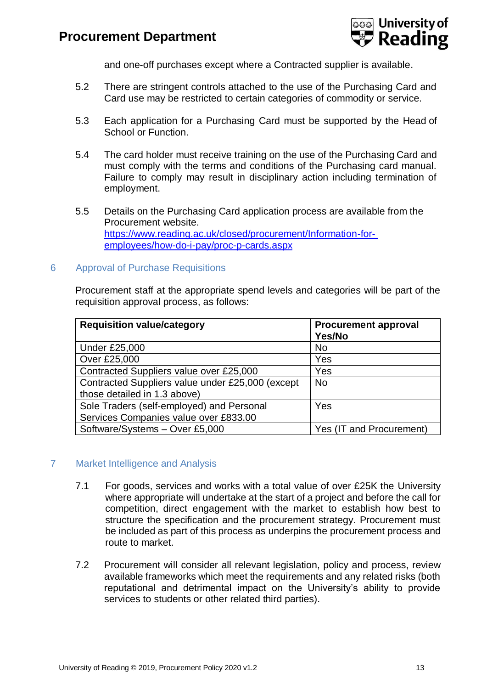

and one-off purchases except where a Contracted supplier is available.

- 5.2 There are stringent controls attached to the use of the Purchasing Card and Card use may be restricted to certain categories of commodity or service.
- 5.3 Each application for a Purchasing Card must be supported by the Head of School or Function.
- 5.4 The card holder must receive training on the use of the Purchasing Card and must comply with the terms and conditions of the Purchasing card manual. Failure to comply may result in disciplinary action including termination of employment.
- 5.5 Details on the Purchasing Card application process are available from the Procurement website. [https://www.reading.ac.uk/closed/procurement/Information-for](https://www.reading.ac.uk/closed/procurement/Information-for-employees/how-do-i-pay/proc-p-cards.aspx)[employees/how-do-i-pay/proc-p-cards.aspx](https://www.reading.ac.uk/closed/procurement/Information-for-employees/how-do-i-pay/proc-p-cards.aspx)
- <span id="page-12-0"></span>6 Approval of Purchase Requisitions

Procurement staff at the appropriate spend levels and categories will be part of the requisition approval process, as follows:

| <b>Requisition value/category</b>                | <b>Procurement approval</b><br>Yes/No |
|--------------------------------------------------|---------------------------------------|
| <b>Under £25,000</b>                             | <b>No</b>                             |
| Over £25,000                                     | Yes                                   |
| Contracted Suppliers value over £25,000          | Yes                                   |
| Contracted Suppliers value under £25,000 (except | <b>No</b>                             |
| those detailed in 1.3 above)                     |                                       |
| Sole Traders (self-employed) and Personal        | Yes                                   |
| Services Companies value over £833.00            |                                       |
| Software/Systems - Over £5,000                   | Yes (IT and Procurement)              |

### <span id="page-12-1"></span>7 Market Intelligence and Analysis

- 7.1 For goods, services and works with a total value of over £25K the University where appropriate will undertake at the start of a project and before the call for competition, direct engagement with the market to establish how best to structure the specification and the procurement strategy. Procurement must be included as part of this process as underpins the procurement process and route to market.
- 7.2 Procurement will consider all relevant legislation, policy and process, review available frameworks which meet the requirements and any related risks (both reputational and detrimental impact on the University's ability to provide services to students or other related third parties).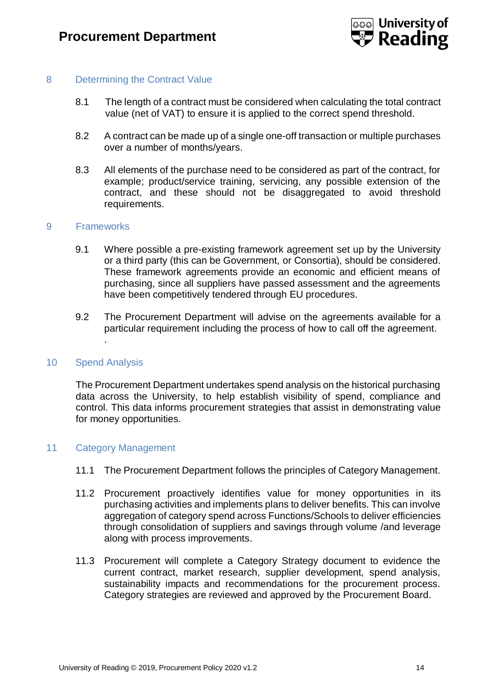

### <span id="page-13-0"></span>8 Determining the Contract Value

- 8.1 The length of a contract must be considered when calculating the total contract value (net of VAT) to ensure it is applied to the correct spend threshold.
- 8.2 A contract can be made up of a single one-off transaction or multiple purchases over a number of months/years.
- 8.3 All elements of the purchase need to be considered as part of the contract, for example; product/service training, servicing, any possible extension of the contract, and these should not be disaggregated to avoid threshold requirements.

#### 9 Frameworks

- <span id="page-13-1"></span>9.1 Where possible a pre-existing framework agreement set up by the University or a third party (this can be Government, or Consortia), should be considered. These framework agreements provide an economic and efficient means of purchasing, since all suppliers have passed assessment and the agreements have been competitively tendered through EU procedures.
- 9.2 The Procurement Department will advise on the agreements available for a particular requirement including the process of how to call off the agreement.

#### <span id="page-13-2"></span>10 Spend Analysis

.

The Procurement Department undertakes spend analysis on the historical purchasing data across the University, to help establish visibility of spend, compliance and control. This data informs procurement strategies that assist in demonstrating value for money opportunities.

#### 11 Category Management

- <span id="page-13-3"></span>11.1 The Procurement Department follows the principles of Category Management.
- 11.2 Procurement proactively identifies value for money opportunities in its purchasing activities and implements plans to deliver benefits. This can involve aggregation of category spend across Functions/Schools to deliver efficiencies through consolidation of suppliers and savings through volume /and leverage along with process improvements.
- 11.3 Procurement will complete a Category Strategy document to evidence the current contract, market research, supplier development, spend analysis, sustainability impacts and recommendations for the procurement process. Category strategies are reviewed and approved by the Procurement Board.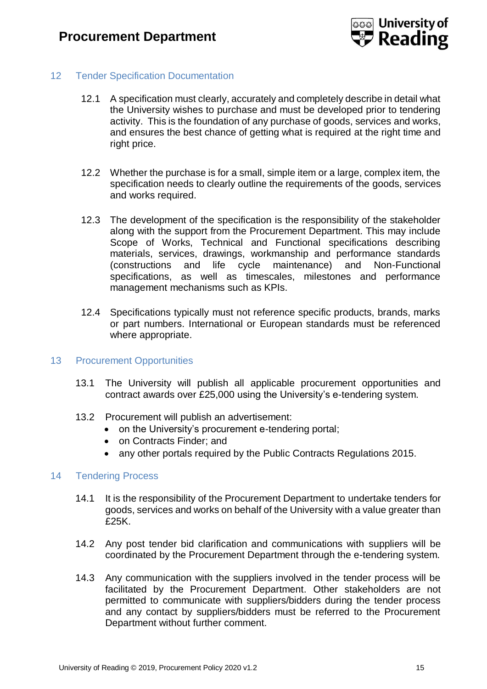

### <span id="page-14-0"></span>12 Tender Specification Documentation

- 12.1 A specification must clearly, accurately and completely describe in detail what the University wishes to purchase and must be developed prior to tendering activity. This is the foundation of any purchase of goods, services and works, and ensures the best chance of getting what is required at the right time and right price.
- 12.2 Whether the purchase is for a small, simple item or a large, complex item, the specification needs to clearly outline the requirements of the goods, services and works required.
- 12.3 The development of the specification is the responsibility of the stakeholder along with the support from the Procurement Department. This may include Scope of Works, Technical and Functional specifications describing materials, services, drawings, workmanship and performance standards (constructions and life cycle maintenance) and Non-Functional specifications, as well as timescales, milestones and performance management mechanisms such as KPIs.
- 12.4 Specifications typically must not reference specific products, brands, marks or part numbers. International or European standards must be referenced where appropriate.

#### <span id="page-14-1"></span>13 Procurement Opportunities

- 13.1 The University will publish all applicable procurement opportunities and contract awards over £25,000 using the University's e-tendering system.
- 13.2 Procurement will publish an advertisement:
	- on the University's procurement e-tendering portal;
	- on Contracts Finder; and
	- any other portals required by the Public Contracts Regulations 2015.

#### <span id="page-14-2"></span>14 Tendering Process

- 14.1 It is the responsibility of the Procurement Department to undertake tenders for goods, services and works on behalf of the University with a value greater than £25K.
- 14.2 Any post tender bid clarification and communications with suppliers will be coordinated by the Procurement Department through the e-tendering system.
- 14.3 Any communication with the suppliers involved in the tender process will be facilitated by the Procurement Department. Other stakeholders are not permitted to communicate with suppliers/bidders during the tender process and any contact by suppliers/bidders must be referred to the Procurement Department without further comment.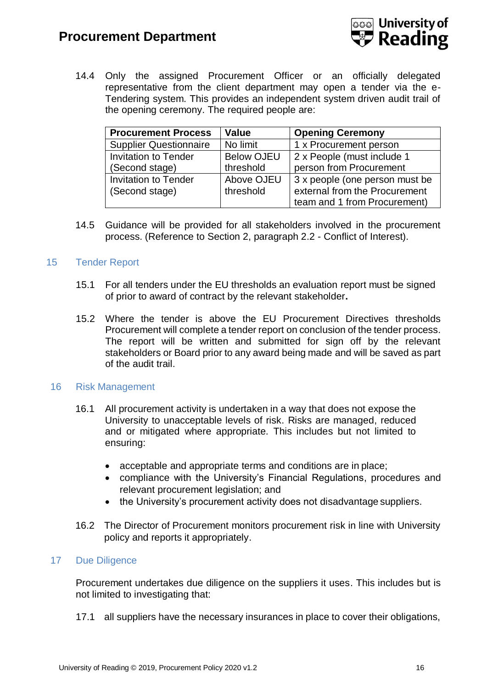

14.4 Only the assigned Procurement Officer or an officially delegated representative from the client department may open a tender via the e-Tendering system. This provides an independent system driven audit trail of the opening ceremony. The required people are:

| <b>Procurement Process</b>    | <b>Value</b>      | <b>Opening Ceremony</b>        |  |
|-------------------------------|-------------------|--------------------------------|--|
| <b>Supplier Questionnaire</b> | No limit          | 1 x Procurement person         |  |
| <b>Invitation to Tender</b>   | <b>Below OJEU</b> | 2 x People (must include 1     |  |
| (Second stage)                | threshold         | person from Procurement        |  |
| <b>Invitation to Tender</b>   | Above OJEU        | 3 x people (one person must be |  |
| (Second stage)                | threshold         | external from the Procurement  |  |
|                               |                   | team and 1 from Procurement)   |  |

14.5 Guidance will be provided for all stakeholders involved in the procurement process. (Reference to Section 2, paragraph 2.2 - Conflict of Interest).

### <span id="page-15-0"></span>15 Tender Report

- 15.1 For all tenders under the EU thresholds an evaluation report must be signed of prior to award of contract by the relevant stakeholder**.**
- 15.2 Where the tender is above the EU Procurement Directives thresholds Procurement will complete a tender report on conclusion of the tender process. The report will be written and submitted for sign off by the relevant stakeholders or Board prior to any award being made and will be saved as part of the audit trail.

### <span id="page-15-1"></span>16 Risk Management

- 16.1 All procurement activity is undertaken in a way that does not expose the University to unacceptable levels of risk. Risks are managed, reduced and or mitigated where appropriate. This includes but not limited to ensuring:
	- acceptable and appropriate terms and conditions are in place;
	- compliance with the University's Financial Regulations, procedures and relevant procurement legislation; and
	- the University's procurement activity does not disadvantage suppliers.
- 16.2 The Director of Procurement monitors procurement risk in line with University policy and reports it appropriately.

### <span id="page-15-2"></span>17 Due Diligence

Procurement undertakes due diligence on the suppliers it uses. This includes but is not limited to investigating that:

17.1 all suppliers have the necessary insurances in place to cover their obligations,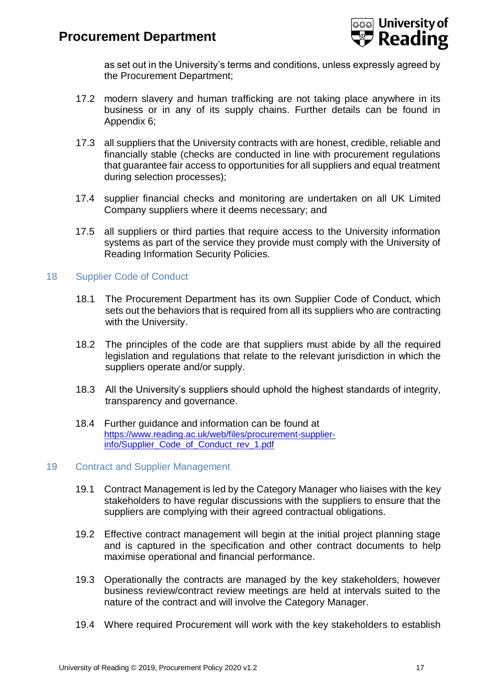

as set out in the University's terms and conditions, unless expressly agreed by the Procurement Department;

- 17.2 modern slavery and human trafficking are not taking place anywhere in its business or in any of its supply chains. Further details can be found in Appendix 6;
- 17.3 all suppliers that the University contracts with are honest, credible, reliable and financially stable (checks are conducted in line with procurement regulations that guarantee fair access to opportunities for all suppliers and equal treatment during selection processes);
- 17.4 supplier financial checks and monitoring are undertaken on all UK Limited Company suppliers where it deems necessary; and
- 17.5 all suppliers or third parties that require access to the University information systems as part of the service they provide must comply with the University of Reading Information Security Policies.

### <span id="page-16-0"></span>18 Supplier Code of Conduct

- 18.1 The Procurement Department has its own Supplier Code of Conduct, which sets out the behaviors that is required from all its suppliers who are contracting with the University**.**
- 18.2 The principles of the code are that suppliers must abide by all the required legislation and regulations that relate to the relevant jurisdiction in which the suppliers operate and/or supply.
- 18.3 All the University's suppliers should uphold the highest standards of integrity, transparency and governance.
- 18.4 Further guidance and information can be found at [https://www.reading.ac.uk/web/files/procurement-supplier](https://www.reading.ac.uk/web/files/procurement-supplier-info/Supplier_Code_of_Conduct_rev_1.pdf)[info/Supplier\\_Code\\_of\\_Conduct\\_rev\\_1.pdf](https://www.reading.ac.uk/web/files/procurement-supplier-info/Supplier_Code_of_Conduct_rev_1.pdf)

### <span id="page-16-1"></span>19 Contract and Supplier Management

- 19.1 Contract Management is led by the Category Manager who liaises with the key stakeholders to have regular discussions with the suppliers to ensure that the suppliers are complying with their agreed contractual obligations.
- 19.2 Effective contract management will begin at the initial project planning stage and is captured in the specification and other contract documents to help maximise operational and financial performance.
- 19.3 Operationally the contracts are managed by the key stakeholders, however business review/contract review meetings are held at intervals suited to the nature of the contract and will involve the Category Manager.
- 19.4 Where required Procurement will work with the key stakeholders to establish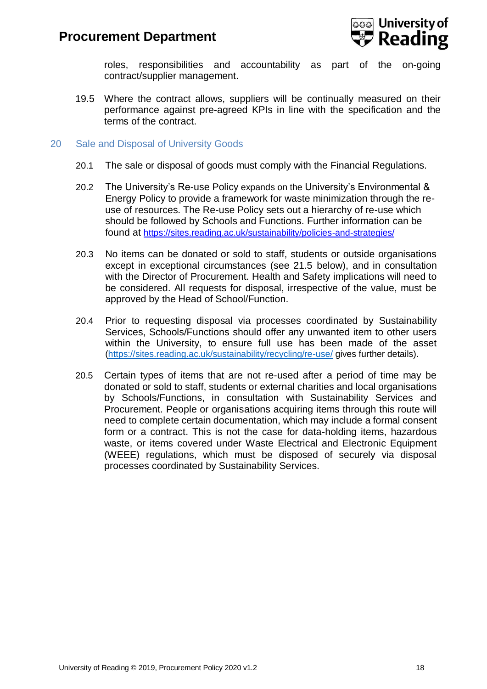

roles, responsibilities and accountability as part of the on-going contract/supplier management.

- 19.5 Where the contract allows, suppliers will be continually measured on their performance against pre-agreed KPIs in line with the specification and the terms of the contract.
- <span id="page-17-0"></span>20 Sale and Disposal of University Goods
	- 20.1 The sale or disposal of goods must comply with the Financial Regulations.
	- 20.2 The University's Re-use Policy expands on the University's Environmental & Energy Policy to provide a framework for waste minimization through the reuse of resources. The Re-use Policy sets out a hierarchy of re-use which should be followed by Schools and Functions. Further information can be found at <https://sites.reading.ac.uk/sustainability/policies-and-strategies/>
	- 20.3 No items can be donated or sold to staff, students or outside organisations except in exceptional circumstances (see 21.5 below), and in consultation with the Director of Procurement. Health and Safety implications will need to be considered. All requests for disposal, irrespective of the value, must be approved by the Head of School/Function.
	- 20.4 Prior to requesting disposal via processes coordinated by Sustainability Services, Schools/Functions should offer any unwanted item to other users within the University, to ensure full use has been made of the asset [\(https://sites.reading.ac.uk/sustainability/recycling/re-use/](https://sites.reading.ac.uk/sustainability/recycling/re-use/) gives further details).
	- 20.5 Certain types of items that are not re-used after a period of time may be donated or sold to staff, students or external charities and local organisations by Schools/Functions, in consultation with Sustainability Services and Procurement. People or organisations acquiring items through this route will need to complete certain documentation, which may include a formal consent form or a contract. This is not the case for data-holding items, hazardous waste, or items covered under Waste Electrical and Electronic Equipment (WEEE) regulations, which must be disposed of securely via disposal processes coordinated by Sustainability Services.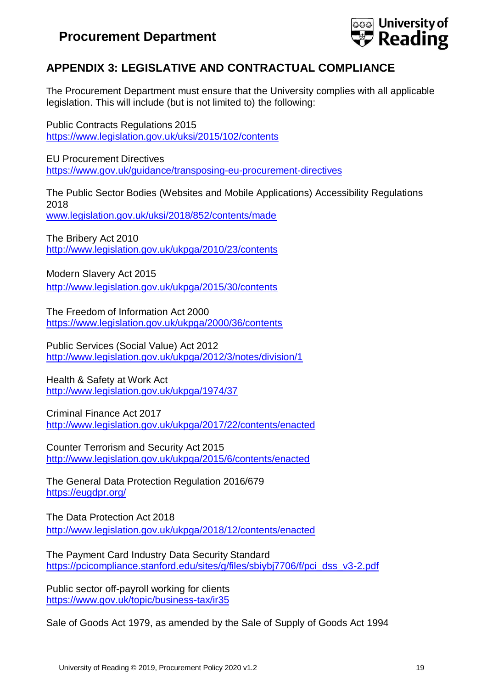

# <span id="page-18-0"></span>**APPENDIX 3: LEGISLATIVE AND CONTRACTUAL COMPLIANCE**

The Procurement Department must ensure that the University complies with all applicable legislation. This will include (but is not limited to) the following:

Public Contracts Regulations 2015 <https://www.legislation.gov.uk/uksi/2015/102/contents>

EU Procurement Directives <https://www.gov.uk/guidance/transposing-eu-procurement-directives>

The Public Sector Bodies (Websites and Mobile Applications) Accessibility Regulations 2018 [www.legislation.gov.uk/uksi/2018/852/contents/made](http://www.legislation.gov.uk/uksi/2018/852/contents/made)

The Bribery Act 2010 <http://www.legislation.gov.uk/ukpga/2010/23/contents>

Modern Slavery Act 2015 <http://www.legislation.gov.uk/ukpga/2015/30/contents>

The Freedom of Information Act 2000 <https://www.legislation.gov.uk/ukpga/2000/36/contents>

Public Services (Social Value) Act 2012 <http://www.legislation.gov.uk/ukpga/2012/3/notes/division/1>

Health & Safety at Work Act <http://www.legislation.gov.uk/ukpga/1974/37>

Criminal Finance Act 2017 <http://www.legislation.gov.uk/ukpga/2017/22/contents/enacted>

Counter Terrorism and Security Act 2015 <http://www.legislation.gov.uk/ukpga/2015/6/contents/enacted>

The General Data Protection Regulation 2016/679 <https://eugdpr.org/>

The Data Protection Act 2018 <http://www.legislation.gov.uk/ukpga/2018/12/contents/enacted>

The Payment Card Industry Data Security Standard [https://pcicompliance.stanford.edu/sites/g/files/sbiybj7706/f/pci\\_dss\\_v3-2.pdf](https://pcicompliance.stanford.edu/sites/g/files/sbiybj7706/f/pci_dss_v3-2.pdf)

Public sector off-payroll working for clients <https://www.gov.uk/topic/business-tax/ir35>

Sale of Goods Act 1979, as amended by the Sale of Supply of Goods Act 1994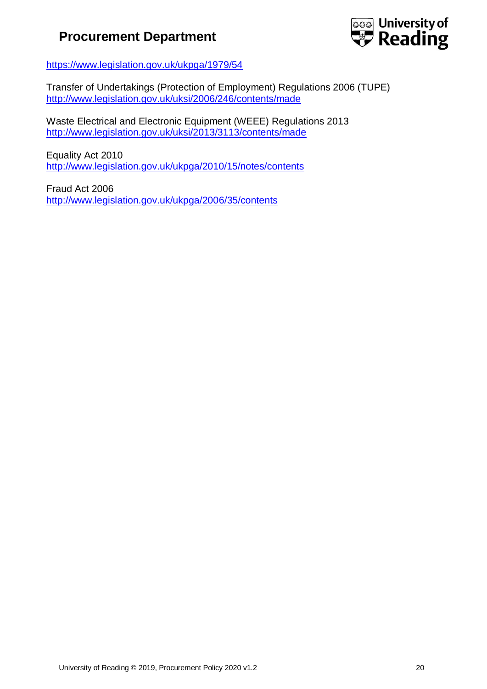

<https://www.legislation.gov.uk/ukpga/1979/54>

Transfer of Undertakings (Protection of Employment) Regulations 2006 (TUPE) <http://www.legislation.gov.uk/uksi/2006/246/contents/made>

Waste Electrical and Electronic Equipment (WEEE) Regulations 2013 <http://www.legislation.gov.uk/uksi/2013/3113/contents/made>

Equality Act 2010 <http://www.legislation.gov.uk/ukpga/2010/15/notes/contents>

Fraud Act 2006 <http://www.legislation.gov.uk/ukpga/2006/35/contents>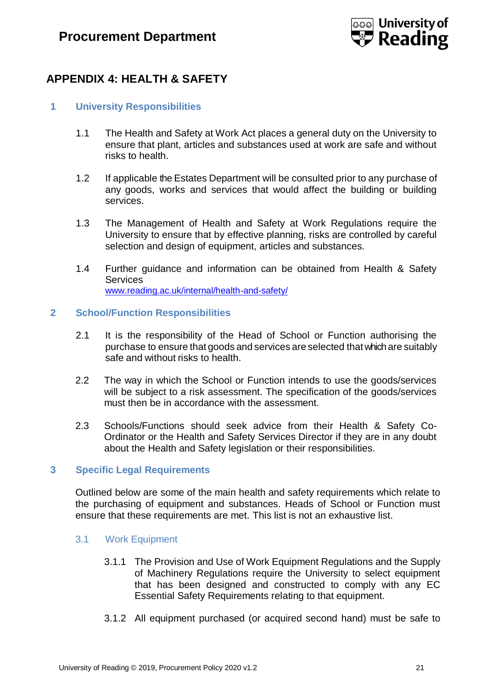

# <span id="page-20-0"></span>**APPENDIX 4: HEALTH & SAFETY**

# <span id="page-20-1"></span>**1 University Responsibilities**

- 1.1 The Health and Safety at Work Act places a general duty on the University to ensure that plant, articles and substances used at work are safe and without risks to health.
- 1.2 If applicable the Estates Department will be consulted prior to any purchase of any goods, works and services that would affect the building or building services.
- 1.3 The Management of Health and Safety at Work Regulations require the University to ensure that by effective planning, risks are controlled by careful selection and design of equipment, articles and substances.
- 1.4 Further guidance and information can be obtained from Health & Safety **Services** [www.reading.ac.uk/internal/health-and-safety/](http://www.reading.ac.uk/internal/health-and-safety/)

### <span id="page-20-2"></span>**2 School/Function Responsibilities**

- 2.1 It is the responsibility of the Head of School or Function authorising the purchase to ensure that goods and services are selected thatwhich are suitably safe and without risks to health.
- 2.2 The way in which the School or Function intends to use the goods/services will be subject to a risk assessment. The specification of the goods/services must then be in accordance with the assessment.
- 2.3 Schools/Functions should seek advice from their Health & Safety Co-Ordinator or the Health and Safety Services Director if they are in any doubt about the Health and Safety legislation or their responsibilities.

## <span id="page-20-3"></span>**3 Specific Legal Requirements**

Outlined below are some of the main health and safety requirements which relate to the purchasing of equipment and substances. Heads of School or Function must ensure that these requirements are met. This list is not an exhaustive list.

### <span id="page-20-4"></span>3.1 Work Equipment

- 3.1.1 The Provision and Use of Work Equipment Regulations and the Supply of Machinery Regulations require the University to select equipment that has been designed and constructed to comply with any EC Essential Safety Requirements relating to that equipment.
- 3.1.2 All equipment purchased (or acquired second hand) must be safe to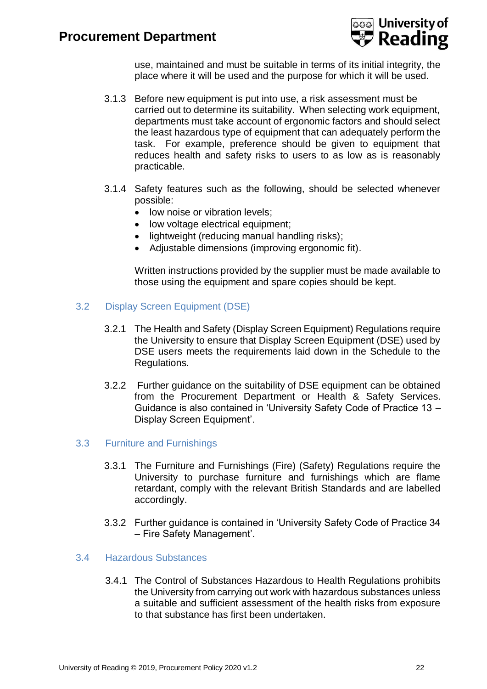

use, maintained and must be suitable in terms of its initial integrity, the place where it will be used and the purpose for which it will be used.

- 3.1.3 Before new equipment is put into use, a risk assessment must be carried out to determine its suitability. When selecting work equipment, departments must take account of ergonomic factors and should select the least hazardous type of equipment that can adequately perform the task. For example, preference should be given to equipment that reduces health and safety risks to users to as low as is reasonably practicable.
- 3.1.4 Safety features such as the following, should be selected whenever possible:
	- low noise or vibration levels:
	- low voltage electrical equipment;
	- lightweight (reducing manual handling risks);
	- Adjustable dimensions (improving ergonomic fit).

Written instructions provided by the supplier must be made available to those using the equipment and spare copies should be kept.

- <span id="page-21-0"></span>3.2 Display Screen Equipment (DSE)
	- 3.2.1 The Health and Safety (Display Screen Equipment) Regulations require the University to ensure that Display Screen Equipment (DSE) used by DSE users meets the requirements laid down in the Schedule to the Regulations.
	- 3.2.2 Further guidance on the suitability of DSE equipment can be obtained from the Procurement Department or Health & Safety Services. Guidance is also contained in 'University Safety Code of Practice 13 – Display Screen Equipment'.

### <span id="page-21-1"></span>3.3 Furniture and Furnishings

- 3.3.1 The Furniture and Furnishings (Fire) (Safety) Regulations require the University to purchase furniture and furnishings which are flame retardant, comply with the relevant British Standards and are labelled accordingly.
- 3.3.2 Further guidance is contained in 'University Safety Code of Practice 34 – Fire Safety Management'.

# <span id="page-21-2"></span>3.4 Hazardous Substances

3.4.1 The Control of Substances Hazardous to Health Regulations prohibits the University from carrying out work with hazardous substances unless a suitable and sufficient assessment of the health risks from exposure to that substance has first been undertaken.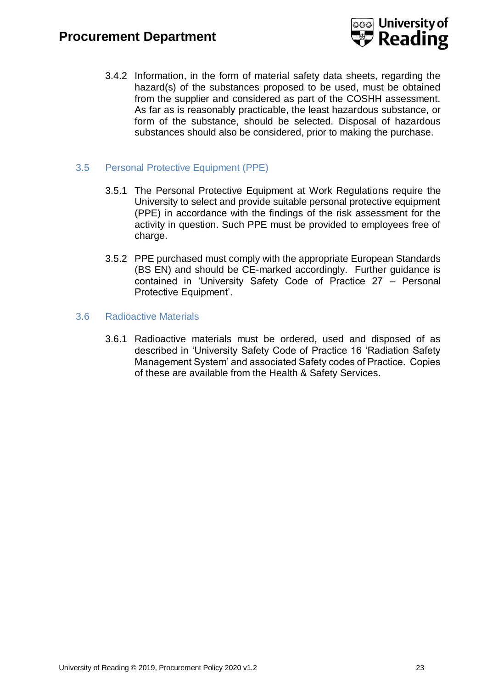

3.4.2 Information, in the form of material safety data sheets, regarding the hazard(s) of the substances proposed to be used, must be obtained from the supplier and considered as part of the COSHH assessment. As far as is reasonably practicable, the least hazardous substance, or form of the substance, should be selected. Disposal of hazardous substances should also be considered, prior to making the purchase.

# <span id="page-22-0"></span>3.5 Personal Protective Equipment (PPE)

- 3.5.1 The Personal Protective Equipment at Work Regulations require the University to select and provide suitable personal protective equipment (PPE) in accordance with the findings of the risk assessment for the activity in question. Such PPE must be provided to employees free of charge.
- 3.5.2 PPE purchased must comply with the appropriate European Standards (BS EN) and should be CE-marked accordingly. Further guidance is contained in 'University Safety Code of Practice 27 – Personal Protective Equipment'.

### <span id="page-22-1"></span>3.6 Radioactive Materials

3.6.1 Radioactive materials must be ordered, used and disposed of as described in 'University Safety Code of Practice 16 'Radiation Safety Management System' and associated Safety codes of Practice. Copies of these are available from the Health & Safety Services.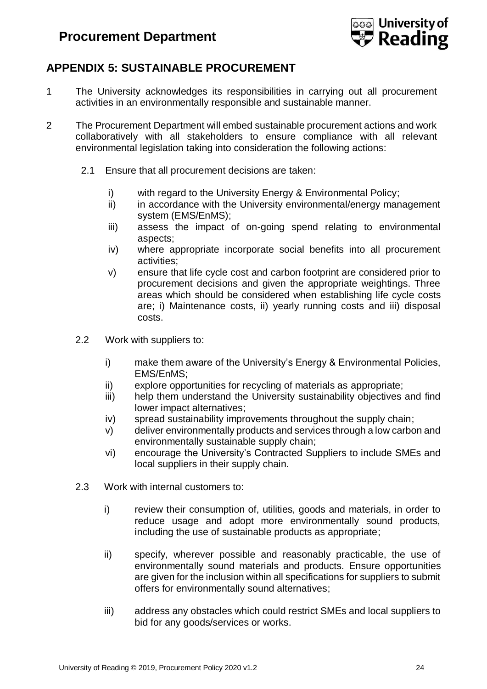

# <span id="page-23-0"></span>**APPENDIX 5: SUSTAINABLE PROCUREMENT**

- 1 The University acknowledges its responsibilities in carrying out all procurement activities in an environmentally responsible and sustainable manner.
- 2 The Procurement Department will embed sustainable procurement actions and work collaboratively with all stakeholders to ensure compliance with all relevant environmental legislation taking into consideration the following actions:
	- 2.1 Ensure that all procurement decisions are taken:
		- i) with regard to the University Energy & Environmental Policy;
		- ii) in accordance with the University environmental/energy management system (EMS/EnMS);
		- iii) assess the impact of on-going spend relating to environmental aspects;
		- iv) where appropriate incorporate social benefits into all procurement activities;
		- v) ensure that life cycle cost and carbon footprint are considered prior to procurement decisions and given the appropriate weightings. Three areas which should be considered when establishing life cycle costs are; i) Maintenance costs, ii) yearly running costs and iii) disposal costs.
	- 2.2 Work with suppliers to:
		- i) make them aware of the University's Energy & Environmental Policies, EMS/EnMS;
		- ii) explore opportunities for recycling of materials as appropriate;
		- iii) help them understand the University sustainability objectives and find lower impact alternatives;
		- iv) spread sustainability improvements throughout the supply chain;
		- v) deliver environmentally products and services through a low carbon and environmentally sustainable supply chain;
		- vi) encourage the University's Contracted Suppliers to include SMEs and local suppliers in their supply chain.
	- 2.3 Work with internal customers to:
		- i) review their consumption of, utilities, goods and materials, in order to reduce usage and adopt more environmentally sound products, including the use of sustainable products as appropriate;
		- ii) specify, wherever possible and reasonably practicable, the use of environmentally sound materials and products. Ensure opportunities are given for the inclusion within all specifications for suppliers to submit offers for environmentally sound alternatives;
		- iii) address any obstacles which could restrict SMEs and local suppliers to bid for any goods/services or works.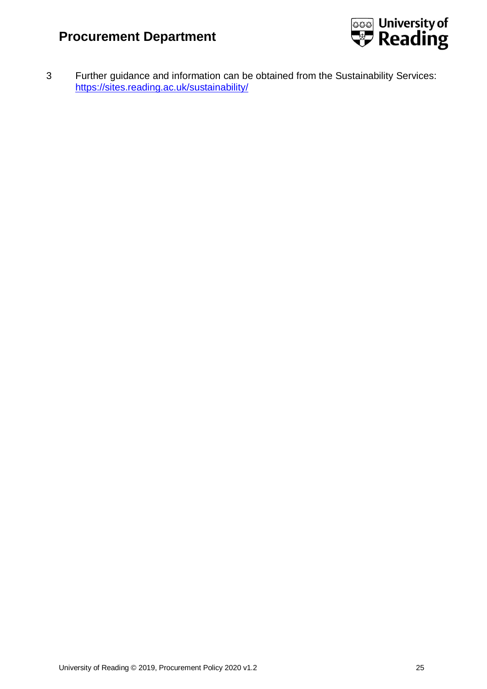

3 Further guidance and information can be obtained from the Sustainability Services: <https://sites.reading.ac.uk/sustainability/>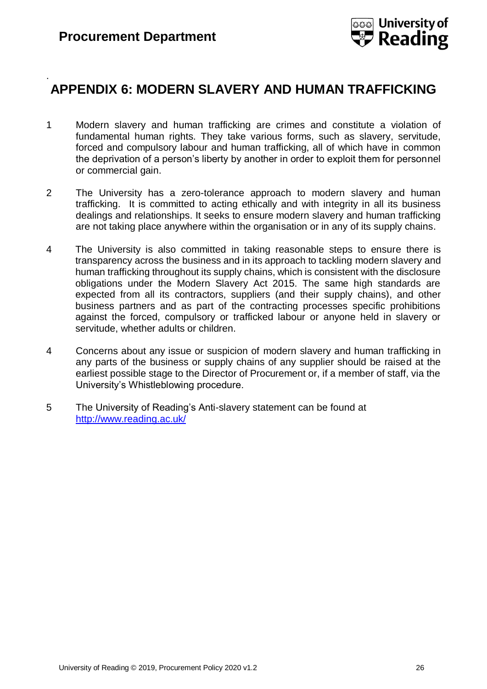.



# <span id="page-25-0"></span>**APPENDIX 6: MODERN SLAVERY AND HUMAN TRAFFICKING**

- 1 Modern slavery and human trafficking are crimes and constitute a violation of fundamental human rights. They take various forms, such as slavery, servitude, forced and compulsory labour and human trafficking, all of which have in common the deprivation of a person's liberty by another in order to exploit them for personnel or commercial gain.
- 2 The University has a zero-tolerance approach to modern slavery and human trafficking. It is committed to acting ethically and with integrity in all its business dealings and relationships. It seeks to ensure modern slavery and human trafficking are not taking place anywhere within the organisation or in any of its supply chains.
- 4 The University is also committed in taking reasonable steps to ensure there is transparency across the business and in its approach to tackling modern slavery and human trafficking throughout its supply chains, which is consistent with the disclosure obligations under the Modern Slavery Act 2015. The same high standards are expected from all its contractors, suppliers (and their supply chains), and other business partners and as part of the contracting processes specific prohibitions against the forced, compulsory or trafficked labour or anyone held in slavery or servitude, whether adults or children.
- 4 Concerns about any issue or suspicion of modern slavery and human trafficking in any parts of the business or supply chains of any supplier should be raised at the earliest possible stage to the Director of Procurement or, if a member of staff, via the University's Whistleblowing procedure.
- 5 The University of Reading's Anti-slavery statement can be found at <http://www.reading.ac.uk/>